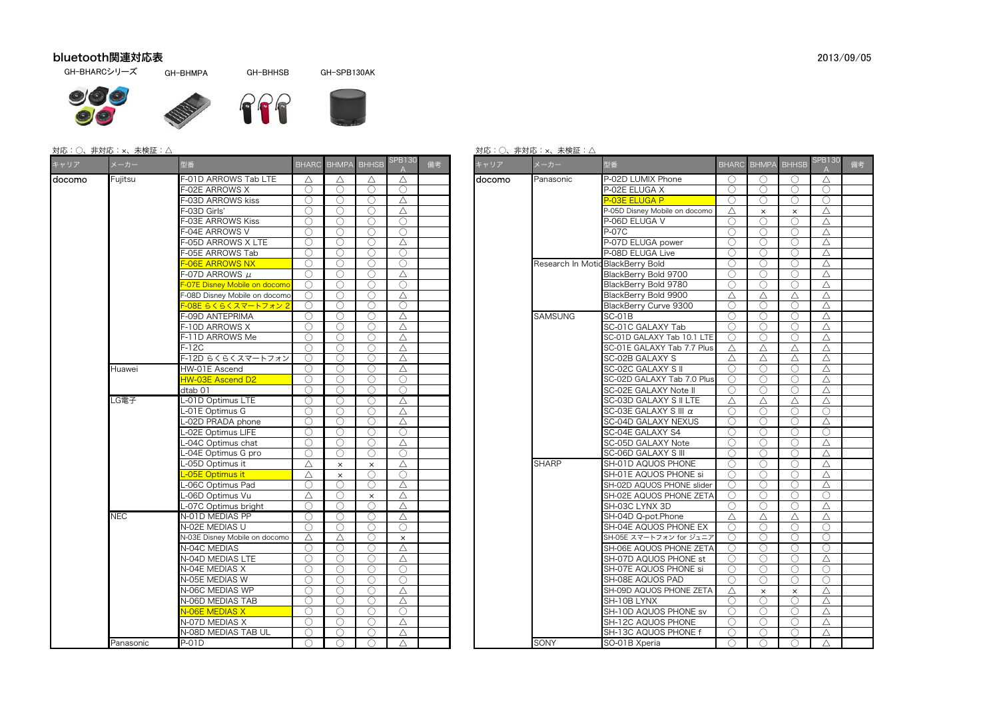## bluetooth関連対応表

GH-BHARCシリーズ

 GH-BHMPAGH-BHHSB GH-SPB130AK





## 対応:○、非対応:×、未検証:△

| キャリア   | メーカー       | 型番                                | BHARC BHMPA BHHSB |                                               |            | <b>SPB130</b> | 備考 | キャリア   | メーカー                             | 型番                            |            |            | BHARC BHMPA BHHSB SPB1 |             |
|--------|------------|-----------------------------------|-------------------|-----------------------------------------------|------------|---------------|----|--------|----------------------------------|-------------------------------|------------|------------|------------------------|-------------|
| docomo | Fuiitsu    | -01D ARROWS Tab LTE               | Δ                 | Δ                                             | Δ          | Δ             |    | docomo | Panasonic                        | P-02D LUMIX Phone             | ( )        | $\bigcirc$ | ( )                    | $\triangle$ |
|        |            | -02E ARROWS X                     | ∩                 | ◯                                             | ∩          | $\bigcirc$    |    |        |                                  | P-02E ELUGA X                 | $\bigcirc$ | $\bigcirc$ | ∩                      | C           |
|        |            | F-03D ARROWS kiss                 | ∩                 | ∩                                             | ∩          | Δ             |    |        |                                  | P-03E ELUGA P                 | $\bigcirc$ | $\bigcirc$ | ◯                      | C           |
|        |            | -03D Girls'                       | ∩                 | ∩                                             | ◯          | Δ             |    |        |                                  | P-05D Disney Mobile on docomo | Δ          | $\times$   | $\times$               | $\triangle$ |
|        |            | -03E ARROWS Kiss                  | ∩                 | ∩                                             | C          | ∩             |    |        |                                  | P-06D ELUGA V                 | $\bigcirc$ | $\bigcirc$ | $\bigcirc$             | $\triangle$ |
|        |            | -04E ARROWS V                     | C                 | ∩                                             | ∩          | $\bigcirc$    |    |        |                                  | $-07C$                        | $\bigcirc$ | $\bigcirc$ | ∩                      | $\triangle$ |
|        |            | -05D ARROWS X LTE                 | ∩                 | $\bigcirc$                                    | ∩          | $\triangle$   |    |        |                                  | P-07D ELUGA power             | ∩          | ∩          | ◯                      | $\triangle$ |
|        |            | -05E ARROWS Tab                   | ∩                 | ∩                                             | ∩          | $\bigcirc$    |    |        |                                  | P-08D ELUGA Live              | $\bigcirc$ | $\bigcirc$ | ◯                      | $\triangle$ |
|        |            | <b>-06E ARROWS NX</b>             | ○                 | $\left(\right)$                               | O          | O             |    |        | Research In MoticBlackBerry Bold |                               | $\bigcirc$ | $\bigcirc$ | ( )                    | $\triangle$ |
|        |            | $-07D$ ARROWS $\mu$               | €                 | C                                             | €          | Δ             |    |        |                                  | BlackBerry Bold 9700          | ∩          | ∩          | ∩                      | $\triangle$ |
|        |            | -O7E Disney Mobile on docomo      |                   |                                               | ∩          | O             |    |        |                                  | BlackBerry Bold 9780          | ∩          | ∩          |                        | △           |
|        |            | -08D Disney Mobile on docomo      | ∩                 | ∩                                             | ∩          | Δ             |    |        |                                  | BlackBerry Bold 9900          | Δ          | Δ          | Δ                      | $\triangle$ |
|        |            | - <mark>-08E らくらくスマートフォン 2</mark> | ∩                 | ∩                                             | ∩          | ∩             |    |        |                                  | BlackBerry Curve 9300         | ∩          | ∩          |                        | $\triangle$ |
|        |            | -09D ANTEPRIMA                    | ○                 | $\bigcirc$                                    | O          | Δ             |    |        | <b>SAMSUNG</b>                   | SC-01B                        | $\bigcirc$ | $\bigcirc$ | $\bigcirc$             | $\triangle$ |
|        |            | -10D ARROWS X                     |                   | €                                             | C          | $\triangle$   |    |        |                                  | SC-01C GALAXY Tab             | $\bigcirc$ | $\bigcirc$ | ∩                      | $\triangle$ |
|        |            | F-11D ARROWS Me                   |                   | ∩                                             | ∩          | Δ             |    |        |                                  | SC-01D GALAXY Tab 10.1 LTE    | $\bigcap$  | $\bigcirc$ | ◯                      | $\triangle$ |
|        |            | F-12C                             | ○                 | $\bigcirc$                                    | O          | Δ             |    |        |                                  | SC-01E GALAXY Tab 7.7 Plus    | Δ          | Δ          | Δ                      | $\triangle$ |
|        |            | F-12D らくらくスマートフォン                 | €                 | С.                                            | €          | Δ             |    |        |                                  | SC-02B GALAXY S               | Δ          | Δ          | Δ                      | $\triangle$ |
|        | Huawei     | HW-01E Ascend                     | ()                | ()                                            | ○          | Δ             |    |        |                                  | <b>SC-02C GALAXY S II</b>     | ∩          | ∩          | ◯                      | $\triangle$ |
|        |            | HW-03E Ascend D2                  | ∩                 | ∩                                             | ∩          | $\bigcirc$    |    |        |                                  | SC-02D GALAXY Tab 7.0 Plus    | ∩          | ∩          | ◯                      | △           |
|        |            | dtab 01                           | ∩                 | ◯                                             | ∩          | ∩             |    |        |                                  | SC-02E GALAXY Note II         | $\bigcirc$ | ∩          | ◯                      | △           |
|        | _G電子       | -01D Optimus LTE                  | ◯                 | $\left( \begin{array}{c} \end{array} \right)$ | ○          | Δ             |    |        |                                  | SC-03D GALAXY S II LTE        | Δ          | Δ          | Δ                      | $\triangle$ |
|        |            | -01E Optimus G                    | C                 | ∩                                             | C          | $\triangle$   |    |        |                                  | SC-03E GALAXY S III α         | $\bigcirc$ | $\bigcirc$ | ∩                      | C           |
|        |            | -02D PRADA phone                  | ∩                 | ∩                                             | ∩          | Δ             |    |        |                                  | SC-04D GALAXY NEXUS           | $\bigcirc$ | $\bigcirc$ | ∩                      | $\triangle$ |
|        |            | -02E Optimus LIFE                 | ○                 | ○                                             | ∩          | $\bigcirc$    |    |        |                                  | SC-04E GALAXY S4              | ∩          | ∩          | ◯                      | C           |
|        |            | -04C Optimus chat                 | ∩                 | ◯                                             | ∩          | Δ             |    |        |                                  | SC-05D GALAXY Note            | ∩          | $\bigcirc$ | ∩                      | $\triangle$ |
|        |            | -04E Optimus G pro                | ()                | ()                                            | O          | O             |    |        |                                  | SC-06D GALAXY S III           | $\bigcirc$ | $\bigcirc$ | ()                     | △           |
|        |            | -05D Optimus it                   | Δ                 | $\times$                                      | $\times$   | Δ             |    |        | <b>SHARP</b>                     | SH-01D AQUOS PHONE            | $\bigcirc$ | ∩          | $\bigcirc$             | $\triangle$ |
|        |            | -05E Optimus it                   | Δ                 | $\times$                                      | ∩          | ∩             |    |        |                                  | SH-01E AQUOS PHONE si         | ∩          | ∩          | ◯                      | $\triangle$ |
|        |            | -06C Optimus Pad                  | ◯                 | ∩                                             | ◯          | Δ             |    |        |                                  | SH-02D AQUOS PHONE slider     | $\bigcirc$ | $\bigcirc$ | ◯                      | △           |
|        |            | -06D Optimus Vu                   | Δ                 | ∩                                             | $\times$   | Δ             |    |        |                                  | SH-02E AQUOS PHONE ZETA       | $\bigcirc$ | ∩          | ◯                      | C           |
|        |            | -07C Optimus bright               | ∩                 | $\bigcirc$                                    | $\bigcirc$ | $\triangle$   |    |        |                                  | SH-03C LYNX 3D                | $\bigcirc$ | $\bigcirc$ | ∩                      | $\triangle$ |
|        | <b>NEC</b> | N-01D MEDIAS PP                   |                   |                                               | €          | Δ             |    |        |                                  | SH-04D Q-pot.Phone            | Δ          | Δ          | Δ                      | $\triangle$ |
|        |            | N-02E MEDIAS U                    | ∩                 | ∩                                             | ∩          | ∩             |    |        |                                  | SH-04E AQUOS PHONE EX         | ∩          | $\bigcirc$ |                        | C           |
|        |            | N-03E Disney Mobile on docomo     | Δ                 | Δ                                             | ◯          | $\times$      |    |        |                                  | SH-05E スマートフォン for ジュニア       | $\bigcirc$ | ∩          | ◯                      | C           |
|        |            | N-04C MEDIAS                      | ∩                 | C                                             | ∩          | Δ             |    |        |                                  | SH-06E AQUOS PHONE ZETA       | ∩          | $\bigcirc$ | ∩                      | C           |
|        |            | N-04D MEDIAS LTE                  | C                 | ∩                                             | C          | Δ             |    |        |                                  | SH-07D AQUOS PHONE st         | $\bigcirc$ | ∩          | ◯                      | △           |
|        |            | N-04E MEDIAS X                    | ∩                 | ()                                            | ∩          | $\bigcirc$    |    |        |                                  | SH-07E AQUOS PHONE si         | ∩          | ∩          | ○                      | C           |
|        |            | N-05E MEDIAS W                    | ∩                 | ∩                                             | ∩          | ∩             |    |        |                                  | SH-08E AQUOS PAD              | ∩          | ∩          | ∩                      | C           |
|        |            | N-06C MEDIAS WP                   | ○                 | $\bigcirc$                                    | ◯          | Δ             |    |        |                                  | SH-09D AQUOS PHONE ZETA       | Δ          | $\times$   | $\times$               | △           |
|        |            | N-06D MEDIAS TAB                  | ∩                 | €                                             | ◯          | Δ             |    |        |                                  | SH-10B LYNX                   | $\bigcap$  | $\bigcirc$ | ∩                      | $\triangle$ |
|        |            | N-06E MEDIAS X                    |                   |                                               | ◯          | ∩             |    |        |                                  | SH-10D AQUOS PHONE sv         | $\bigcirc$ | ∩          |                        | $\triangle$ |
|        |            | N-07D MEDIAS X                    | ○                 | ○                                             | ○          | Δ             |    |        |                                  | SH-12C AQUOS PHONE            | ∩          | ∩          | ◯                      | $\triangle$ |
|        |            | N-08D MEDIAS TAB UL               | ∩                 | ∩                                             | ∩          | Δ             |    |        |                                  | SH-13C AQUOS PHONE f          | $\bigcirc$ | $\bigcirc$ | ∩                      | $\triangle$ |
|        | Panasonic  | <b>P-01D</b>                      | ∩                 | $\bigcirc$                                    | $\bigcirc$ | Δ             |    |        | SONY                             | SO-01B Xperia                 | $\bigcirc$ | $\bigcirc$ | $\bigcirc$             | $\triangle$ |

## 対応:○、非対応:×、未検証:△

|                                            |            |                    |              |               |    |        | 刈心・∪、ナトスリハレ・メ、木快証・△               |                               |                 |              |              |             |    |
|--------------------------------------------|------------|--------------------|--------------|---------------|----|--------|-----------------------------------|-------------------------------|-----------------|--------------|--------------|-------------|----|
| 型番                                         |            | <b>BHARC BHMPA</b> | <b>BHHSB</b> | <b>SPB130</b> | 備考 | キャリア   | メーカー                              | 型番                            | <b>BHARC</b>    | <b>BHMPA</b> | <b>BHHSB</b> | SPB130      | 備考 |
| F-01D ARROWS Tab LTE                       | Δ          | Δ                  | Δ            | Δ             |    | docomo | Panasonic                         | P-02D LUMIX Phone             | $\bigcirc$      | ◯            | ◯            | Δ           |    |
| F-02E ARROWS X                             |            | ∩                  | $\bigcirc$   | $\bigcirc$    |    |        |                                   | <sup>2</sup> -02E ELUGA X     | ∩               | $\bigcirc$   | ∩            | $\bigcirc$  |    |
| F-03D ARROWS kiss                          | ∩          | ○                  | ∩            | Δ             |    |        |                                   | <b>P-03E ELUGA P</b>          | $\bigcirc$      | ∩            | ∩            | ∩           |    |
| F-03D Girls'                               | 0          | ◯                  | ∩            | Δ             |    |        |                                   | 2-05D Disney Mobile on docomo | Δ               | $\times$     | $\times$     | Δ           |    |
| F-03E ARROWS Kiss                          |            | ◯                  | ∩            | $\bigcirc$    |    |        |                                   | <sup>2</sup> -06D ELUGA V     | ∩               | ◯            | ∩            | Δ           |    |
| F-04E ARROWS V                             | ∩          | ∩                  | ∩            | ∩             |    |        |                                   | 2-07C                         | ∩               | ∩            | ∩            | Δ           |    |
| F-05D ARROWS X LTE                         |            | ∩                  | ∩            | Δ             |    |        |                                   | P-07D ELUGA power             |                 | ∩            | ∩            | Δ           |    |
| F-05E ARROWS Tab                           |            | ∩                  | ∩            | $\bigcirc$    |    |        |                                   | P-08D ELUGA Live              |                 | ∩            | ∩            | Δ           |    |
| F-06E ARROWS NX                            | ◯          | ○                  | ∩            | ∩             |    |        | Research In Motic BlackBerry Bold |                               | ( )             | ◯            | ○            | Δ           |    |
| F-07D ARROWS $\mu$                         |            | ∩                  | ∩            | Δ             |    |        |                                   | BlackBerry Bold 9700          | ∩               | ∩            | ∩            | Δ           |    |
| <mark>F-07E Disney Mobile on docomo</mark> | ◯          | ◯                  | $\bigcirc$   | $\bigcirc$    |    |        |                                   | BlackBerry Bold 9780          | $\bigcirc$      | $\bigcirc$   | ○            | Δ           |    |
| F-08D Disney Mobile on docomo              |            | ∩                  | ∩            | Δ             |    |        |                                   | BlackBerry Bold 9900          | Δ               | Δ            | Δ            | Δ           |    |
| <mark>F-08E らくらくスマートフォン 2</mark>           |            | ∩                  | ∩            | ∩             |    |        |                                   | BlackBerry Curve 9300         |                 |              | ∩            | Δ           |    |
| F-09D ANTEPRIMA                            | ◯          | ○                  | ∩            | Δ             |    |        | <b>SAMSUNG</b>                    | SC-01B                        | $\bigcirc$      | $\bigcirc$   | ∩            | Δ           |    |
| F-10D ARROWS X                             | ∩          | ∩                  | ∩            | Δ             |    |        |                                   | SC-01C GALAXY Tab             | ∩               | ∩            | ∩            | Δ           |    |
| F-11D ARROWS Me                            |            | ()                 | $\bigcirc$   | Δ             |    |        |                                   | SC-01D GALAXY Tab 10.1 LTE    | ( )             | $\bigcirc$   | ◯            | Δ           |    |
| F-12C                                      | ◯          | ∩                  | ∩            | Δ             |    |        |                                   | SC-01E GALAXY Tab 7.7 Plus    | Δ               | Δ            | Δ            | Δ           |    |
| F-12D らくらくスマートフォン                          | ∩          | ∩                  | ∩            | Δ             |    |        |                                   | SC-02B GALAXY S               | Δ               | Δ            | Δ            | Δ           |    |
| HW-01E Ascend                              | ◯          | ∩                  | ∩            | Δ             |    |        |                                   | SC-02C GALAXY S II            | ∩               | ∩            | ∩            | Δ           |    |
| HW-03E Ascend D2                           | ◯          | ∩                  | ∩            | ∩             |    |        |                                   | SC-02D GALAXY Tab 7.0 Plus    | ◯               | ∩            | ∩            | Δ           |    |
| dtab 01                                    |            | ◯                  | $\bigcirc$   | $\bigcirc$    |    |        |                                   | SC-02E GALAXY Note II         | $\left(\right)$ | ◯            | ○            | Δ           |    |
| L-01D Optimus LTE                          | $\bigcirc$ | ∩                  | ∩            | Δ             |    |        |                                   | SC-03D GALAXY S II LTE        | $\triangle$     | Δ            | Δ            | Δ           |    |
| L-01E Optimus G                            | ∩          | ∩                  | ∩            | $\triangle$   |    |        |                                   | SC-03E GALAXY S III $\alpha$  | ∩               | ∩            | ∩            | ∩           |    |
| L-02D PRADA phone                          |            | O                  | ∩            | $\triangle$   |    |        |                                   | SC-04D GALAXY NEXUS           | ∩               | Ο            | O            | Δ           |    |
| L-02E Optimus LIFE                         | ∩          | ∩                  | $\bigcirc$   | ∩             |    |        |                                   | SC-04E GALAXY S4              | ∩               | $\bigcirc$   | ∩            | ∩           |    |
| L-04C Optimus chat                         | ()         | ○                  | ∩            | Δ             |    |        |                                   | SC-05D GALAXY Note            | ( )             | ◯            | ◯            | Δ           |    |
| L-04E Optimus G pro                        |            | ○                  | $\bigcirc$   | ∩             |    |        |                                   | SC-06D GALAXY S III           |                 | ∩            | ∩            | Δ           |    |
| L-05D Optimus it                           | Δ          | $\times$           | $\times$     | Δ             |    |        | <b>SHARP</b>                      | SH-01D AQUOS PHONE            | $\bigcirc$      | $\bigcirc$   | O            | Δ           |    |
| L-05E Optimus it                           | Δ          | $\times$           | ∩            | ∩             |    |        |                                   | SH-01E AQUOS PHONE si         | ∩               | ∩            | ∩            | Δ           |    |
| L-06C Optimus Pad                          |            | Ο                  | ∩            | Δ             |    |        |                                   | SH-02D AQUOS PHONE slider     |                 | ∩            | ∩            | Δ           |    |
| L-06D Optimus Vu                           | Δ          | ∩                  | $\times$     | Δ             |    |        |                                   | SH-02E AQUOS PHONE ZETA       | ∩               | $\bigcirc$   | ∩            | ∩           |    |
| L-07C Optimus bright                       |            | ∩                  | ◯            | Δ             |    |        |                                   | SH-03C LYNX 3D                | ◯               | $\bigcirc$   | ∩            | Δ           |    |
| N-01D MEDIAS PP                            | $\bigcirc$ | $\bigcirc$         | $\bigcirc$   | Δ             |    |        |                                   | SH-04D Q-pot.Phone            | Δ               | Δ            | Δ            | Δ           |    |
| N-02E MEDIAS U                             | C          | ∩                  | ∩            | ∩             |    |        |                                   | SH-04E AQUOS PHONE EX         | $\bigcap$       | C            | ∩            | ∩           |    |
| N-03E Disney Mobile on docomo              | Δ          | Δ                  | ◯            | $\times$      |    |        |                                   | SH-05E スマートフォン for ジュニア       | $\bigcirc$      | ∩            | ∩            | ∩           |    |
| N-04C MEDIAS                               |            | ◯                  | ∩            | $\triangle$   |    |        |                                   | SH-06E AQUOS PHONE ZETA       | $\bigcirc$      | ∩            | ∩            | ∩           |    |
| N-04D MEDIAS LTE                           |            | ∩                  | ∩            | Δ             |    |        |                                   | SH-07D AQUOS PHONE st         | ◯               | ∩            | ∩            | Δ           |    |
| N-04E MEDIAS X                             | ſ.         | ()                 | $\bigcirc$   | $\bigcirc$    |    |        |                                   | SH-07E AQUOS PHONE si         | ( )             | ( )          | ○            | $\bigcirc$  |    |
| N-05E MEDIAS W                             |            | ∩                  | $\bigcirc$   | ∩             |    |        |                                   | SH-08E AQUOS PAD              | ∩               | ∩            | ∩            | ∩           |    |
| N-06C MEDIAS WP                            |            | ∩                  | ∩            | Δ             |    |        |                                   | SH-09D AQUOS PHONE ZETA       | Δ               | $\times$     | $\times$     | Δ           |    |
| N-06D MEDIAS TAB                           |            | ○                  | ∩            | Δ             |    |        |                                   | SH-10B LYNX                   | $\bigcirc$      | 0            | O            | Δ           |    |
| N-06E MEDIAS X                             | ∩          | ∩                  | ◯            | ∩             |    |        |                                   | SH-10D AQUOS PHONE sv         | ∩               | ∩            | ∩            | Δ           |    |
| N-07D MEDIAS X                             | ()         | ○                  | ∩            | Δ             |    |        |                                   | SH-12C AQUOS PHONE            | $\bigcirc$      | ◯            | ○            | Δ           |    |
| N-08D MEDIAS TAB UL                        | ∩          | ∩                  | $\bigcirc$   | $\triangle$   |    |        |                                   | SH-13C AQUOS PHONE f          | ∩               | $\bigcirc$   | ∩            | $\triangle$ |    |
| <b>P-01D</b>                               | ∩          | $\bigcirc$         | $\bigcirc$   | Δ             |    |        | SONY                              | SO-01B Xperia                 | $\bigcirc$      | $\bigcirc$   | $\bigcirc$   | Δ           |    |
|                                            |            |                    |              |               |    |        |                                   |                               |                 |              |              |             |    |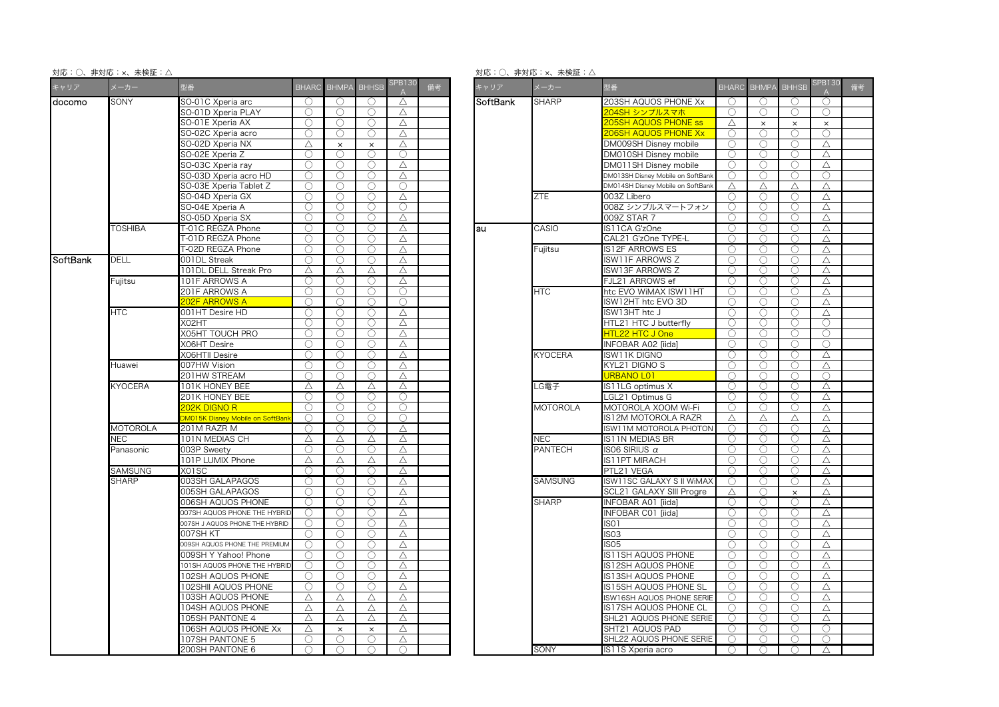対応:○、非対応:×、未検証:△

対応:○、非対応:×、未検証:△

| キャリア     | メーカー            | 型番                                                 | <b>BHARC</b> |                  | <b>BHMPA BHHSB</b>  | <b>SPB130</b> | 備考 |                        | キャリア      | メーカー                              | 型番                                |             | BHARC BHMPA | <b>BHHSB</b> | SPB <sub>1</sub><br>$\mathsf{A}$ |
|----------|-----------------|----------------------------------------------------|--------------|------------------|---------------------|---------------|----|------------------------|-----------|-----------------------------------|-----------------------------------|-------------|-------------|--------------|----------------------------------|
| docomo   | SONY            | SO-01C Xperia arc                                  | $\bigcirc$   | $\left( \right)$ | $\bigcirc$          | Δ             |    |                        | SoftBank  | <b>SHARP</b>                      | 203SH AQUOS PHONE Xx              | $\bigcirc$  | $\bigcirc$  | $\bigcirc$   | C                                |
|          |                 | SO-01D Xperia PLAY                                 | O            | O                | O                   | $\triangle$   |    |                        |           |                                   | 204SH シンプルスマホ                     | $\bigcirc$  | 0           | O            | C                                |
|          |                 | SO-01E Xperia AX                                   | ∩            | ∩                | ∩                   | Δ             |    |                        |           |                                   | 205SH AQUOS PHONE ss              | Δ           | $\times$    | $\times$     | $\times$                         |
|          |                 | SO-02C Xperia acro                                 | О            | ◯                | $\circlearrowright$ | $\triangle$   |    |                        |           |                                   | <b>206SH AQUOS PHONE Xx</b>       | $\bigcirc$  | ∩           | ∩            | C                                |
|          |                 | SO-02D Xperia NX                                   | Δ            | $\times$         | $\times$            | Δ             |    |                        |           |                                   | DM009SH Disney mobile             | ∩           | ∩           | ∩            | $\triangle$                      |
|          |                 | SO-02E Xperia Z                                    | ∩            | ◯                | ∩                   | ∩             |    |                        |           |                                   | DM010SH Disney mobile             | ◯           | ◯           | ○            | △                                |
|          |                 | SO-03C Xperia ray                                  | Ο            | ◯                | 0                   | Δ             |    |                        |           |                                   | DM011SH Disney mobile             | $\bigcirc$  | ∩           | ∩            | Δ                                |
|          |                 | SO-03D Xperia acro HD                              | O            | ∩                | $\bigcirc$          | $\triangle$   |    |                        |           |                                   | DM013SH Disney Mobile on SoftBank | ∩           | ∩           | ∩            | C                                |
|          |                 | SO-03E Xperia Tablet Z                             | O            | ∩                | O                   | 0             |    |                        |           | DM014SH Disney Mobile on SoftBank | Δ                                 | Δ           | Δ           | Δ            |                                  |
|          |                 | SO-04D Xperia GX                                   | ∩            | ∩                | ∩                   | Δ             |    |                        | ZTE       | 003Z Libero                       | ○                                 | ○           | 0           | $\triangle$  |                                  |
|          |                 | SO-04E Xperia A                                    | O            | ∩                | 0                   | 0             |    |                        |           | 008Z シンプルスマートフォン                  | $\bigcirc$                        | Ω           | ∩           | $\triangle$  |                                  |
|          |                 | SO-05D Xperia SX                                   | ∩            | ∩                | ∩                   | Δ             |    |                        |           |                                   | 009Z STAR 7                       | ∩           | ∩           | ∩            | $\triangle$                      |
|          | <b>TOSHIBA</b>  | T-01C REGZA Phone                                  | Ο            | O                | Ο                   | $\triangle$   |    |                        | au        | CASIO                             | IS11CA G'zOne                     | $\bigcirc$  | 0           | O            | $\triangle$                      |
|          |                 | T-01D REGZA Phone                                  | O            | ∩                | $\bigcirc$          | Δ             |    |                        |           |                                   | CAL21 G'zOne TYPE-L               | $\bigcirc$  | ∩           |              | $\triangle$                      |
|          |                 | T-02D REGZA Phone                                  | $\bigcirc$   | ◯                | $\bigcirc$          | $\triangle$   |    |                        |           | Fujitsu                           | IS12F ARROWS ES                   | $\bigcirc$  | ∩           | ∩            | $\triangle$                      |
| SoftBank | <b>DELL</b>     | 001DL Streak                                       | ∩            | ∩                | ∩                   | Δ             |    |                        |           |                                   | <b>ISW11F ARROWS Z</b>            | $\bigcap$   | $\bigcirc$  | ∩            | $\triangle$                      |
|          |                 | 101DL DELL Streak Pro                              | Δ            | Δ                | Δ                   | Δ             |    |                        |           |                                   | ISW13F ARROWS Z                   | ∩           | ◯           | ()           | △                                |
|          | Fujitsu         | <b>101F ARROWS A</b>                               | Ο            | ∩                | 0                   | $\triangle$   |    |                        |           | FJL21 ARROWS ef                   | ∩                                 | ∩           | ∩           | $\triangle$  |                                  |
|          |                 | 201F ARROWS A                                      | O            | ∩                | $\bigcirc$          | $\bigcirc$    |    |                        |           | HТC                               | htc EVO WiMAX ISW11HT             | ∩           | ∩           | ∩            | $\triangle$                      |
|          |                 | <b>202F ARROWS A</b>                               | ∩            | ∩                | ∩                   | $\bigcirc$    |    |                        |           |                                   | ISW12HT htc EVO 3D                | O           | O           | O            | △                                |
|          | <b>HTC</b>      | 001HT Desire HD                                    | ∩            | ◯                | ∩                   | Δ             |    |                        |           |                                   | ISW13HT htc J                     | ∩           | ∩           | ◯            | Δ                                |
|          |                 | X02HT                                              | ∩            | ∩                | Ο                   | $\triangle$   |    |                        |           |                                   | HTL21 HTC J butterfly             | $\bigcirc$  | Ω           | ∩            | C                                |
|          |                 | X05HT TOUCH PRO                                    | O            | $\bigcirc$       | $\bigcirc$          | $\triangle$   |    |                        |           |                                   | HTL22 HTC J One                   | $\bigcirc$  | O           | $\bigcirc$   | C                                |
|          |                 | <b>XO6HT Desire</b>                                | O            | ∩                | Ο                   | Δ             |    |                        |           |                                   | INFOBAR A02 [iida]                | $\bigcirc$  | Ω           | ∩            | C                                |
|          |                 | <b>XO6HTII Desire</b>                              | $\bigcirc$   | $\bigcirc$       | $\bigcirc$          | $\triangle$   |    |                        |           | <b>KYOCERA</b>                    |                                   | ∩           | ∩           |              |                                  |
|          |                 |                                                    | ∩            | $\bigcirc$       |                     |               |    |                        |           |                                   | ISW11K DIGNO                      | $\bigcap$   | $\bigcirc$  | ◯<br>∩       | $\triangle$                      |
|          | Huawei          | 007HW Vision                                       |              |                  | $\bigcirc$          | $\triangle$   |    |                        |           |                                   | KYL21 DIGNO S                     |             |             |              | $\triangle$                      |
|          |                 | 201HW STREAM                                       | ∩            | ∩                | $\bigcirc$          | $\triangle$   |    |                        |           |                                   | <b>URBANO LO1</b>                 | ∩           | ∩           | $\bigcirc$   | C                                |
|          | <b>KYOCERA</b>  | 101K HONEY BEE                                     | Δ            | Δ                | Δ                   | Δ             |    |                        |           | LG電子                              | IS11LG optimus X                  | ∩           | ◯           | ○            | △                                |
|          |                 | 201K HONEY BEE                                     | ∩            | $\bigcirc$       | Ο                   | $\bigcirc$    |    |                        |           |                                   | LGL21 Optimus G                   | $\bigcirc$  | ∩           | ∩            | $\triangle$                      |
|          |                 | 202K DIGNO R                                       | ∩            | ∩                | ∩                   | $\bigcirc$    |    |                        |           | <b>MOTOROLA</b>                   | MOTOROLA XOOM Wi-Fi               | ∩           | $\bigcirc$  | ∩            | $\triangle$                      |
|          |                 | M015K Disney Mobile on SoftBan                     | C            | ⊖                | Ω                   | ∩             |    |                        |           |                                   | IS12M MOTOROLA RAZR               | Δ           | Δ           | Δ            | △                                |
|          | <b>MOTOROLA</b> | 201M RAZR M<br>∩<br>$\bigcirc$<br>$\triangle$<br>∩ |              |                  |                     |               |    | ISW11M MOTOROLA PHOTON | $\bigcap$ | $\bigcirc$                        |                                   | $\triangle$ |             |              |                                  |
|          | ۷EC             | 101N MEDIAS CH                                     | Δ            | Δ                | Δ                   | Δ             |    |                        |           | <b>NEC</b>                        | IS11N MEDIAS BR                   | ∩           | ∩           | ◯            | $\triangle$                      |
|          | Panasonic       | 003P Sweety                                        | $\bigcirc$   | $\bigcirc$       | $\bigcirc$          | Δ             |    |                        |           | <b>PANTECH</b>                    | ISO6 SIRIUS $\alpha$              | $\bigcirc$  | $\bigcirc$  | $\bigcirc$   | △                                |
|          |                 | 101P LUMIX Phone                                   | Δ            | Δ                | Δ                   | Δ             |    |                        |           |                                   | IS11PT MIRACH                     | ∩           | ∩           | ∩            | Δ                                |
|          | SAMSUNG         | X01SC                                              | ∩            | ∩                | $\bigcirc$          | $\triangle$   |    |                        |           |                                   | PTL21 VEGA                        | ∩           | ∩           | ∩            | $\triangle$                      |
|          | <b>SHARP</b>    | 003SH GALAPAGOS                                    | ∩            | ∩                | $\bigcirc$          | $\triangle$   |    |                        |           | <b>SAMSUNG</b>                    | ISW11SC GALAXY S II WIMAX         | ∩           | ∩           | ∩            | $\triangle$                      |
|          |                 | 005SH GALAPAGOS                                    | ∩            | ∩                | ∩                   | Δ             |    |                        |           |                                   | SCL21 GALAXY SIII Progre          | $\triangle$ | ∩           | $\times$     | △                                |
|          |                 | 006SH AQUOS PHONE                                  | ∩            | ∩                | ∩                   | Δ             |    |                        |           | <b>SHARP</b>                      | INFOBAR A01 [iida]                | ◯           | ◯           | ∩            | $\triangle$                      |
|          |                 | 007SH AQUOS PHONE THE HYBRID                       | 0            | $\bigcirc$       | 0                   | Δ             |    |                        |           |                                   | INFOBAR C01 [iida]                | $\bigcirc$  | ∩           | Ω            | $\triangle$                      |
|          |                 | 007SH J AQUOS PHONE THE HYBRID                     | ∩            | ∩                | $\bigcirc$          | Δ             |    |                        |           |                                   | ISO1                              | ∩           | ∩           | ∩            | $\triangle$                      |
|          |                 | 007SH KT                                           | ◯            | ◯                | O                   | Δ             |    |                        |           |                                   | ISO <sub>3</sub>                  | ◯           | O           | ()           | △                                |
|          |                 | 009SH AQUOS PHONE THE PREMIUM                      | ∩            | ∩                | Ο                   | Δ             |    |                        |           |                                   | <b>IS05</b>                       | ∩           | ∩           |              | $\triangle$                      |
|          |                 | 009SH Y Yahoo! Phone                               | O            | O                | $\bigcirc$          | $\triangle$   |    |                        |           |                                   | IS11SH AQUOS PHONE                | ∩           | ∩           | ∩            | $\triangle$                      |
|          |                 | 101SH AQUOS PHONE THE HYBRID                       | 0            | $\bigcirc$       | $\bigcirc$          | $\triangle$   |    |                        |           |                                   | IS12SH AQUOS PHONE                | $\bigcirc$  | O           | $\bigcirc$   | △                                |
|          |                 | 102SH AQUOS PHONE                                  | Ο            | ∩                | 0                   | Δ             |    |                        |           |                                   | S13SH AQUOS PHONE                 | ∩           | ∩           | ∩            | Δ                                |
|          |                 | 102SHII AQUOS PHONE                                | O            | ∩                | $\circlearrowright$ | $\triangle$   |    |                        |           |                                   | S15SH AQUOS PHONE SL              | ◯           | Ω           | ∩            | $\triangle$                      |
|          |                 | 103SH AQUOS PHONE                                  | Δ            | Δ                | Δ                   | Δ             |    |                        |           |                                   | SW16SH AQUOS PHONE SERIE          | $\bigcirc$  | ∩           | ∩            | △                                |
|          |                 | 04SH AQUOS PHONE                                   | Δ            | Δ                | Δ                   | Δ             |    |                        |           |                                   | S17SH AQUOS PHONE CL              | ∩           | ∩           | ∩            | △                                |
|          |                 | 105SH PANTONE 4                                    | Δ            | Δ                | Δ                   | Δ             |    |                        |           |                                   | SHL21 AQUOS PHONE SERIE           | ∩           | ∩           | ◯            | △                                |
|          |                 | 106SH AQUOS PHONE Xx                               | Δ            | $\times$         | $\times$            | Δ             |    |                        |           |                                   | SHT21 AQUOS PAD                   | $\bigcirc$  | ∩           | ∩            | C                                |
|          |                 | 107SH PANTONE 5                                    | ∩            | ∩                | $\bigcirc$          | Δ             |    |                        |           |                                   | SHL22 AQUOS PHONE SERIE           | ∩           | $\bigcirc$  | ∩            | C                                |
|          |                 | 200SH PANTONE 6                                    | O            | $\bigcirc$       | O                   | $\bigcirc$    |    |                        |           | SONY                              | IS11S Xperia acro                 | ( )         | ◯           | ()           | $\triangle$                      |

| 型番                              |            | BHARC BHMPA BHHSB |            | <b>SPB130</b> | 備考 | キャリア     | メーカー            | 型番                                |            | BHARC BHMPA BHHSB |            | <b>SPB130</b> | 備考 |
|---------------------------------|------------|-------------------|------------|---------------|----|----------|-----------------|-----------------------------------|------------|-------------------|------------|---------------|----|
| SO-01C Xperia arc               | $\bigcirc$ | ∩                 | $\bigcirc$ | Δ             |    | SoftBank | <b>SHARP</b>    | 203SH AQUOS PHONE Xx              | $\bigcirc$ | ∩                 | ∩          | $\bigcirc$    |    |
| SO-01D Xperia PLAY              | ∩          | O                 | O          | Δ             |    |          |                 | 204SH シンプルスマホ                     | ∩          | O                 | O          | O             |    |
| SO-01E Xperia AX                | ○          | ∩                 | $\bigcirc$ | Δ             |    |          |                 | <b>205SH AQUOS PHONE ss</b>       | Δ          | $\times$          | $\times$   | $\times$      |    |
| SO-02C Xperia acro              | O          | O                 | O          | Δ             |    |          |                 | <b>206SH AQUOS PHONE Xx</b>       | O          | O                 | O          | Ο             |    |
| SO-02D Xperia NX                | Δ          | $\times$          | $\times$   | $\triangle$   |    |          |                 | DM009SH Disney mobile             | ∩          | ∩                 | Ω          | $\triangle$   |    |
| SO-02E Xperia Z                 | ∩          | Ω                 | ∩          | ∩             |    |          |                 | DM010SH Disney mobile             | ∩          | ∩                 | Ω          | Δ             |    |
| SO-03C Xperia ray               | ∩          | O                 | O          | Δ             |    |          |                 | DM011SH Disney mobile             | O          | Ω                 | ◯          | Δ             |    |
| SO-03D Xperia acro HD           | ∩          | Ο                 | Ω          | Δ             |    |          |                 | DM013SH Disney Mobile on SoftBank | ∩          | Ω                 | Ω          | $\bigcirc$    |    |
| SO-03E Xperia Tablet Z          | ∩          | Ω                 | ∩          | ∩             |    |          |                 | DM014SH Disney Mobile on SoftBanl | Δ          | Δ                 | Δ          | Δ             |    |
| SO-04D Xperia GX                | ○          | Ο                 | O          | Δ             |    |          | <b>ZTE</b>      | 003Z Libero                       | $\bigcirc$ | $\bigcirc$        | $\bigcirc$ | Δ             |    |
| SO-04E Xperia A                 | ∩          | Ω                 | ∩          | $\bigcirc$    |    |          |                 | 008Z シンプルスマートフォン                  | ∩          | ∩                 | ∩          | Δ             |    |
| SO-05D Xperia SX                | ∩          | ∩                 | ∩          | Δ             |    |          |                 | 009Z STAR 7                       | ∩          | ∩                 | ∩          | $\wedge$      |    |
| T-01C REGZA Phone               | ∩          | $\bigcirc$        | ∩          | Δ             |    | au       | CASIO           | IS11CA G'zOne                     | ∩          | ∩                 | $\bigcirc$ | $\triangle$   |    |
| T-01D REGZA Phone               | ∩          | ∩                 | ∩          | Δ             |    |          |                 | CAL21 G'zOne TYPE-L               | ∩          | ∩                 | ∩          | Δ             |    |
| T-02D REGZA Phone               | О.         | ○                 | ○          | Δ             |    |          | Fujitsu         | IS12F ARROWS ES                   | ( )        | O                 | O          | Δ             |    |
| 001DL Streak                    | ∩          | 0                 | $\bigcirc$ | $\triangle$   |    |          |                 | <b>ISW11F ARROWS Z</b>            | ∩          | 0                 | $\bigcirc$ | $\triangle$   |    |
| 101DL DELL Streak Pro           | Δ          | Δ                 | Δ          | Δ             |    |          |                 | ISW13F ARROWS Z                   | ∩          | O                 | 0          | Δ             |    |
| 101F ARROWS A                   | ○          | O                 | ○          | Δ             |    |          |                 | FJL21 ARROWS ef                   | ◯          | ◯                 | ◯          | $\triangle$   |    |
| 201F ARROWS A                   | ∩          | ∩                 | ∩          | Ω             |    |          | <b>HTC</b>      | htc EVO WiMAX ISW11HT             | ◯          | ∩                 | ∩          | Δ             |    |
| 202F ARROWS A                   | ∩          | Ω                 | ∩          | ∩             |    |          |                 | SW12HT htc EVO 3D                 | ∩          | Ω                 | ∩          | Δ             |    |
| 001HT Desire HD                 | ○          | O                 | O          | Δ             |    |          |                 | ISW13HT htc J                     | ∩          | Ω                 | O          | Δ             |    |
| X02HT                           | ○          | O                 | O          | Δ             |    |          |                 | HTL21 HTC J butterfly             | Ω          | O                 | ∩          | ∩             |    |
| X05HT TOUCH PRO                 | ∩          | ∩                 | O          | Δ             |    |          |                 | HTL22 HTC J One                   | ∩          | O                 | 0          | ∩             |    |
| X06HT Desire                    | ∩          | Ω                 | Ο          | Δ             |    |          |                 | <b>INFOBAR A02 fiidal</b>         | ∩          | ∩                 | $\bigcirc$ | $\bigcirc$    |    |
| X06HTII Desire                  | ∩          | $\bigcirc$        | $\bigcirc$ | Δ             |    |          | <b>KYOCERA</b>  | ISW11K DIGNO                      | ∩          | ∩                 | ∩          | Δ             |    |
| 007HW Vision                    | ∩          | ◯                 | ○          | Δ             |    |          |                 | KYL21 DIGNO S                     | Ω          | ◯                 | ◯          | Δ             |    |
| 201HW STREAM                    | ∩          | ∩                 | ∩          | Δ             |    |          |                 | URBANO LO1                        | ∩          | Ω                 | ∩          | ∩             |    |
| 101K HONEY BEE                  | Δ          | Δ                 | Δ          | $\triangle$   |    |          | LG電子            | IS11LG optimus X                  | ∩          | Ω                 | ○          | Δ             |    |
| 201K HONEY BEE                  | ○          | ∩                 | $\bigcirc$ | $\bigcirc$    |    |          |                 | LGL21 Optimus G                   | ∩          | $\bigcirc$        | $\bigcirc$ | $\triangle$   |    |
| 202K DIGNO R                    | ∩          | ∩                 | ∩          | Ω             |    |          | <b>MOTOROLA</b> | MOTOROLA XOOM Wi-Fi               | ∩          | ∩                 | ∩          | Δ             |    |
| DM015K Disney Mobile on SoftBan | ∩          | ∩                 | ∩          | $\bigcirc$    |    |          |                 | IS12M MOTOROLA RAZR               | Δ          | Δ                 | Δ          | $\triangle$   |    |
| 201M RAZR M                     | ∩          | ∩                 | ∩          | Δ             |    |          |                 | ISW11M MOTOROLA PHOTON            | $\bigcirc$ | $\bigcirc$        | ∩          | Δ             |    |
| 101N MEDIAS CH                  | Δ          | Δ                 | Δ          | Δ             |    |          | <b>NEC</b>      | IS11N MEDIAS BR                   | $\bigcirc$ | $\bigcirc$        | $\bigcirc$ | Δ             |    |
| 003P Sweety                     | ()         | O                 | O          | Δ             |    |          | PANTECH         | ISO6 SIRIUS $\alpha$              | O          | O                 | O          | Δ             |    |
| 101P LUMIX Phone                | Δ          | Δ                 | Δ          | Δ             |    |          |                 | IS11PT MIRACH                     | ∩          | 0                 | ∩          | $\triangle$   |    |
| X01SC                           | ∩          | $\bigcirc$        | ∩          | Δ             |    |          |                 | PTL21 VEGA                        | ∩          | ∩                 | ∩          | Δ             |    |
| 003SH GALAPAGOS                 | ○          | O                 | O          | Δ             |    |          | <b>SAMSUNG</b>  | ISW11SC GALAXY S II WIMAX         | O          | O                 | ◯          | Δ             |    |
| 005SH GALAPAGOS                 | ∩          | 0                 | $\bigcirc$ | Δ             |    |          |                 | SCL21 GALAXY SIII Progre          | Δ          | $\bigcirc$        | $\times$   | $\triangle$   |    |
| 006SH AQUOS PHONE               | ∩          | $\bigcirc$        | ∩          | Δ             |    |          | <b>SHARP</b>    | INFOBAR A01 [iida]                | ∩          | ∩                 | ∩          | $\triangle$   |    |
| 007SH AQUOS PHONE THE HYBRID    | ○          | O                 | ○          | Δ             |    |          |                 | INFOBAR C01 [iida]                | $\bigcirc$ | O                 | $\bigcirc$ | Δ             |    |
| 007SH J AQUOS PHONE THE HYBRID  | O          | O                 | O          | Δ             |    |          |                 | ISO1                              | ∩          | Ω                 | O          | Δ             |    |
| 007SH KT                        | ∩          | ∩                 | ∩          | Δ             |    |          |                 | S03                               | ∩          | ∩                 | ∩          | Δ             |    |
| 009SH AQUOS PHONE THE PREMIUM   | O          | Ο                 | Ο          | Δ             |    |          |                 | <b>SO5</b>                        | ∩          | O                 | O          | Δ             |    |
| 009SH Y Yahoo! Phone            | ∩          | ∩                 | ∩          | Δ             |    |          |                 | IS11SH AQUOS PHONE                | ∩          | ∩                 | ∩          | Δ             |    |
| 101SH AQUOS PHONE THE HYBRID    | ○          | ○                 | ○          | Δ             |    |          |                 | IS12SH AQUOS PHONE                | ○          | ∩                 | ◯          | Δ             |    |
| <b>102SH AQUOS PHONE</b>        | O          | Ο                 | Ω          | Δ             |    |          |                 | IS13SH AQUOS PHONE                | Ω          | Ο                 | Ο          | Δ             |    |
| 102SHII AQUOS PHONE             | O          | O                 | O          | Δ             |    |          |                 | IS15SH AQUOS PHONE SL             | О          | O                 | O          | Δ             |    |
| 103SH AQUOS PHONE               | Δ          | Δ                 | Δ          | Δ             |    |          |                 | SW16SH AQUOS PHONE SERIE          | O          | Ω                 | O          | Δ             |    |
| 104SH AQUOS PHONE               | Δ          | Δ                 | Δ          | Δ             |    |          |                 | S17SH AQUOS PHONE CL              | ∩          | 0                 | ∩          | Δ             |    |
| 105SH PANTONE 4                 | Δ          | Δ                 | Δ          | Δ             |    |          |                 | SHL21 AQUOS PHONE SERIE           | ∩          | 0                 | ∩          | Δ             |    |
| 106SH AQUOS PHONE Xx            | Δ          | $\times$          | $\times$   | Δ             |    |          |                 | SHT21 AQUOS PAD                   | ∩          | ∩                 | ∩          | ∩             |    |
| 107SH PANTONE 5                 | ∩          | ∩                 | ∩          | Δ             |    |          |                 | SHL22 AQUOS PHONE SERIE           | ∩          | ∩                 | ∩          | ∩             |    |
| 200SH PANTONE 6                 |            | ∩                 | ∩          | $\bigcirc$    |    |          | SONY            | IS11S Xperia acro                 | $\bigcirc$ | $\circ$           | $\bigcirc$ | Δ             |    |
|                                 |            |                   |            |               |    |          |                 |                                   |            |                   |            |               |    |